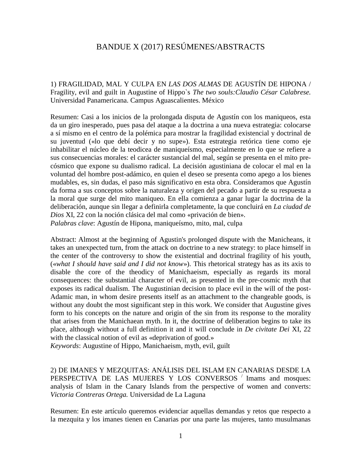## BANDUE X (2017) RESÚMENES/ABSTRACTS

1) FRAGILIDAD, MAL Y CULPA EN *LAS DOS ALMAS* DE AGUSTÍN DE HIPONA / Fragility, evil and guilt in Augustine of Hippo`s *The two souls:Claudio César Calabrese.* Universidad Panamericana. Campus Aguascalientes. México

Resumen: Casi a los inicios de la prolongada disputa de Agustín con los maniqueos, esta da un giro inesperado, pues pasa del ataque a la doctrina a una nueva estrategia: colocarse a sí mismo en el centro de la polémica para mostrar la fragilidad existencial y doctrinal de su juventud («lo que debí decir y no supe»). Esta estrategia retórica tiene como eje inhabilitar el núcleo de la teodicea de maniqueísmo, especialmente en lo que se refiere a sus consecuencias morales: el carácter sustancial del mal, según se presenta en el mito precósmico que expone su dualismo radical. La decisión agustiniana de colocar el mal en la voluntad del hombre post-adámico, en quien el deseo se presenta como apego a los bienes mudables, es, sin dudas, el paso más significativo en esta obra. Consideramos que Agustín da forma a sus conceptos sobre la naturaleza y origen del pecado a partir de su respuesta a la moral que surge del mito maniqueo. En ella comienza a ganar lugar la doctrina de la deliberación, aunque sin llegar a definirla completamente, la que concluirá en *La ciudad de Dios* XI, 22 con la noción clásica del mal como «privación de bien». *Palabras clave*: Agustín de Hipona, maniqueísmo, mito, mal, culpa

Abstract: Almost at the beginning of Agustin's prolonged dispute with the Manicheans, it takes an unexpected turn, from the attack on doctrine to a new strategy: to place himself in the center of the controversy to show the existential and doctrinal fragility of his youth, («*what I should have said and I did not know*»). This rhetorical strategy has as its axis to disable the core of the theodicy of Manichaeism, especially as regards its moral consequences: the substantial character of evil, as presented in the pre-cosmic myth that exposes its radical dualism. The Augustinian decision to place evil in the will of the post-Adamic man, in whom desire presents itself as an attachment to the changeable goods, is without any doubt the most significant step in this work. We consider that Augustine gives form to his concepts on the nature and origin of the sin from its response to the morality that arises from the Manichaean myth. In it, the doctrine of deliberation begins to take its place, although without a full definition it and it will conclude in *De civitate Dei* XI, 22 with the classical notion of evil as «deprivation of good.»

*Keywords*: Augustine of Hippo, Manichaeism, myth, evil, guilt

2) DE IMANES Y MEZQUITAS: ANÁLISIS DEL ISLAM EN CANARIAS DESDE LA PERSPECTIVA DE LAS MUJERES Y LOS CONVERSOS / Imams and mosques: analysis of Islam in the Canary Islands from the perspective of women and converts: *Victoria Contreras Ortega.* Universidad de La Laguna

Resumen: En este artículo queremos evidenciar aquellas demandas y retos que respecto a la mezquita y los imanes tienen en Canarias por una parte las mujeres, tanto musulmanas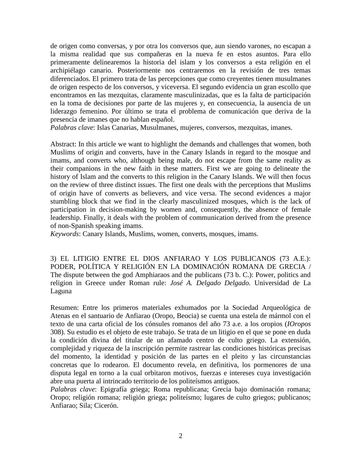de origen como conversas, y por otra los conversos que, aun siendo varones, no escapan a la misma realidad que sus compañeras en la nueva fe en estos asuntos. Para ello primeramente delinearemos la historia del islam y los conversos a esta religión en el archipiélago canario. Posteriormente nos centraremos en la revisión de tres temas diferenciados. El primero trata de las percepciones que como creyentes tienen musulmanes de origen respecto de los conversos, y viceversa. El segundo evidencia un gran escollo que encontramos en las mezquitas, claramente masculinizadas, que es la falta de participación en la toma de decisiones por parte de las mujeres y, en consecuencia, la ausencia de un liderazgo femenino. Por último se trata el problema de comunicación que deriva de la presencia de imanes que no hablan español.

*Palabras clave*: Islas Canarias, Musulmanes, mujeres, conversos, mezquitas, imanes.

Abstract: In this article we want to highlight the demands and challenges that women, both Muslims of origin and converts, have in the Canary Islands in regard to the mosque and imams, and converts who, although being male, do not escape from the same reality as their companions in the new faith in these matters. First we are going to delineate the history of Islam and the converts to this religion in the Canary Islands. We will then focus on the review of three distinct issues. The first one deals with the perceptions that Muslims of origin have of converts as believers, and vice versa. The second evidences a major stumbling block that we find in the clearly masculinized mosques, which is the lack of participation in decision-making by women and, consequently, the absence of female leadership. Finally, it deals with the problem of communication derived from the presence of non-Spanish speaking imams.

*Keywords*: Canary Islands, Muslims, women, converts, mosques, imams.

3) EL LITIGIO ENTRE EL DIOS ANFIARAO Y LOS PUBLICANOS (73 A.E.): PODER, POLÍTICA Y RELIGIÓN EN LA DOMINACIÓN ROMANA DE GRECIA / The dispute between the god Amphiaraos and the publicans (73 b. C.): Power, politics and religion in Greece under Roman rule: *José A. Delgado Delgado.* Universidad de La Laguna

Resumen: Entre los primeros materiales exhumados por la Sociedad Arqueológica de Atenas en el santuario de Anfiarao (Oropo, Beocia) se cuenta una estela de mármol con el texto de una carta oficial de los cónsules romanos del año 73 a.e. a los oropios (*IOropos* 308). Su estudio es el objeto de este trabajo. Se trata de un litigio en el que se pone en duda la condición divina del titular de un afamado centro de culto griego. La extensión, complejidad y riqueza de la inscripción permite rastrear las condiciones históricas precisas del momento, la identidad y posición de las partes en el pleito y las circunstancias concretas que lo rodearon. El documento revela, en definitiva, los pormenores de una disputa legal en torno a la cual orbitaron motivos, fuerzas e intereses cuya investigación abre una puerta al intrincado territorio de los politeísmos antiguos.

*Palabras clave*: Epigrafía griega; Roma republicana; Grecia bajo dominación romana; Oropo; religión romana; religión griega; politeísmo; lugares de culto griegos; publicanos; Anfiarao; Sila; Cicerón.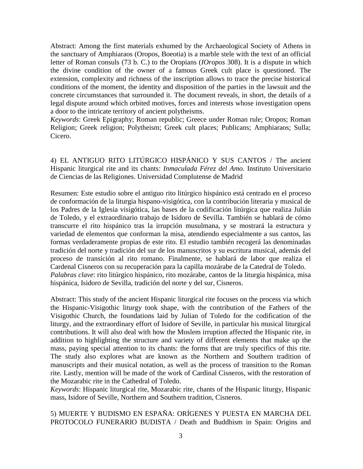Abstract: Among the first materials exhumed by the Archaeological Society of Athens in the sanctuary of Amphiaraos (Oropos, Boeotia) is a marble stele with the text of an official letter of Roman consuls (73 b. C.) to the Oropians (*IOropos* 308). It is a dispute in which the divine condition of the owner of a famous Greek cult place is questioned. The extension, complexity and richness of the inscription allows to trace the precise historical conditions of the moment, the identity and disposition of the parties in the lawsuit and the concrete circumstances that surrounded it. The document reveals, in short, the details of a legal dispute around which orbited motives, forces and interests whose investigation opens a door to the intricate territory of ancient polytheisms.

*Keywords*: Greek Epigraphy; Roman republic; Greece under Roman rule; Oropos; Roman Religion; Greek religion; Polytheism; Greek cult places; Publicans; Amphiaraos; Sulla; Cicero.

4) EL ANTIGUO RITO LITÚRGICO HISPÁNICO Y SUS CANTOS / The ancient Hispanic liturgical rite and its chants: *Inmaculada Férez del Amo.* Instituto Universitario de Ciencias de las Religiones. Universidad Complutense de Madrid

Resumen: Este estudio sobre el antiguo rito litúrgico hispánico está centrado en el proceso de conformación de la liturgia hispano-visigótica, con la contribución literaria y musical de los Padres de la Iglesia visigótica, las bases de la codificación litúrgica que realiza Julián de Toledo, y el extraordinario trabajo de Isidoro de Sevilla. También se hablará de cómo transcurre el rito hispánico tras la irrupción musulmana, y se mostrará la estructura y variedad de elementos que conforman la misa, atendiendo especialmente a sus cantos, las formas verdaderamente propias de este rito. El estudio también recogerá las denominadas tradición del norte y tradición del sur de los manuscritos y su escritura musical, además del proceso de transición al rito romano. Finalmente, se hablará de labor que realiza el Cardenal Cisneros con su recuperación para la capilla mozárabe de la Catedral de Toledo. *Palabras clave*: rito litúrgico hispánico, rito mozárabe, cantos de la liturgia hispánica, misa hispánica, Isidoro de Sevilla, tradición del norte y del sur, Cisneros.

Abstract: This study of the ancient Hispanic liturgical rite focuses on the process via which the Hispanic-Visigothic liturgy took shape, with the contribution of the Fathers of the Visigothic Church, the foundations laid by Julian of Toledo for the codification of the liturgy, and the extraordinary effort of Isidore of Seville, in particular his musical liturgical contributions. It will also deal with how the Moslem irruption affected the Hispanic rite, in addition to highlighting the structure and variety of different elements that make up the mass, paying special attention to its chants: the forms that are truly specifics of this rite. The study also explores what are known as the Northern and Southern tradition of manuscripts and their musical notation, as well as the process of transition to the Roman rite. Lastly, mention will be made of the work of Cardinal Cisneros, with the restoration of the Mozarabic rite in the Cathedral of Toledo.

*Keywords*: Hispanic liturgical rite, Mozarabic rite, chants of the Hispanic liturgy, Hispanic mass, Isidore of Seville, Northern and Southern tradition, Cisneros.

5) MUERTE Y BUDISMO EN ESPAÑA: ORÍGENES Y PUESTA EN MARCHA DEL PROTOCOLO FUNERARIO BUDISTA / Death and Buddhism in Spain: Origins and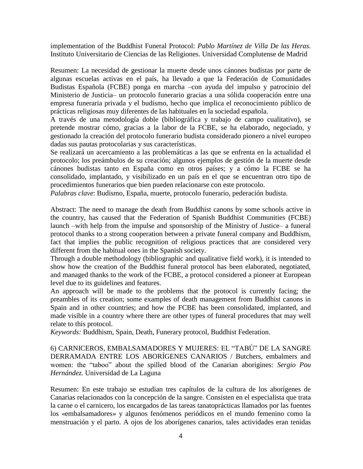implementation of the Buddhist Funeral Protocol: *Pablo Martínez de Villa De las Heras.* Instituto Universitario de Ciencias de las Religiones. Universidad Complutense de Madrid

Resumen: La necesidad de gestionar la muerte desde unos cánones budistas por parte de algunas escuelas activas en el país, ha llevado a que la Federación de Comunidades Budistas Española (FCBE) ponga en marcha –con ayuda del impulso y patrocinio del Ministerio de Justicia– un protocolo funerario gracias a una sólida cooperación entre una empresa funeraria privada y el budismo, hecho que implica el reconocimiento público de prácticas religiosas muy diferentes de las habituales en la sociedad española.

A través de una metodología doble (bibliográfica y trabajo de campo cualitativo), se pretende mostrar cómo, gracias a la labor de la FCBE, se ha elaborado, negociado, y gestionado la creación del protocolo funerario budista considerado pionero a nivel europeo dadas sus pautas protocolarias y sus características.

Se realizará un acercamiento a las problemáticas a las que se enfrenta en la actualidad el protocolo; los preámbulos de su creación; algunos ejemplos de gestión de la muerte desde cánones budistas tanto en España como en otros países; y a cómo la FCBE se ha consolidado, implantado, y visibilizado en un país en el que se encuentran otro tipo de procedimientos funerarios que bien pueden relacionarse con este protocolo.

*Palabras clave*: Budismo, España, muerte, protocolo funerario, pederación budista.

Abstract: The need to manage the death from Buddhist canons by some schools active in the country, has caused that the Federation of Spanish Buddhist Communities (FCBE) launch –with help from the impulse and sponsorship of the Ministry of Justice– a funeral protocol thanks to a strong cooperation between a private funeral company and Buddhism, fact that implies the public recognition of religious practices that are considered very different from the habitual ones in the Spanish society.

Through a double methodology (bibliographic and qualitative field work), it is intended to show how the creation of the Buddhist funeral protocol has been elaborated, negotiated, and managed thanks to the work of the FCBE, a protocol considered a pioneer at European level due to its guidelines and features.

An approach will be made to the problems that the protocol is currently facing; the preambles of its creation; some examples of death management from Buddhist canons in Spain and in other countries; and how the FCBE has been consolidated, implanted, and made visible in a country where there are other types of funeral procedures that may well relate to this protocol.

*Keywords:* Buddhism, Spain, Death, Funerary protocol, Buddhist Federation.

6) CARNICEROS, EMBALSAMADORES Y MUJERES: EL "TABÚ" DE LA SANGRE DERRAMADA ENTRE LOS ABORÍGENES CANARIOS / Butchers, embalmers and women: the "taboo" about the spilled blood of the Canarian aborigines: *Sergio Pou Hernández.* Universidad de La Laguna

Resumen: En este trabajo se estudian tres capítulos de la cultura de los aborígenes de Canarias relacionados con la concepción de la sangre. Consisten en el especialista que trata la carne o el carnicero, los encargados de las tareas tanatoprácticas llamados por las fuentes los «embalsamadores» y algunos fenómenos periódicos en el mundo femenino como la menstruación y el parto. A ojos de los aborígenes canarios, tales actividades eran tenidas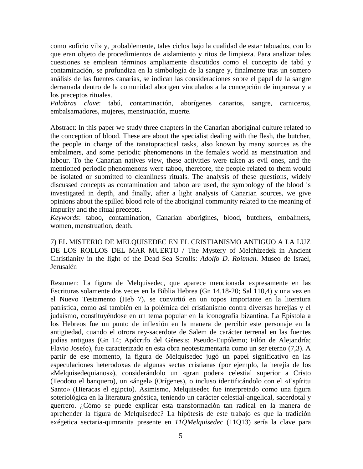como «oficio vil» y, probablemente, tales ciclos bajo la cualidad de estar tabuados, con lo que eran objeto de procedimientos de aislamiento y ritos de limpieza. Para analizar tales cuestiones se emplean términos ampliamente discutidos como el concepto de tabú y contaminación, se profundiza en la simbología de la sangre y, finalmente tras un somero análisis de las fuentes canarias, se indican las consideraciones sobre el papel de la sangre derramada dentro de la comunidad aborigen vinculados a la concepción de impureza y a los preceptos rituales.

*Palabras clave*: tabú, contaminación, aborígenes canarios, sangre, carniceros, embalsamadores, mujeres, menstruación, muerte.

Abstract: In this paper we study three chapters in the Canarian aboriginal culture related to the conception of blood. These are about the specialist dealing with the flesh, the butcher, the people in charge of the tanatopractical tasks, also known by many sources as the embalmers, and some periodic phenomenons in the female's world as menstruation and labour. To the Canarian natives view, these activities were taken as evil ones, and the mentioned periodic phenomenons were taboo, therefore, the people related to them would be isolated or submitted to cleanliness rituals. The analysis of these questions, widely discussed concepts as contamination and taboo are used, the symbology of the blood is investigated in depth, and finally, after a light analysis of Canarian sources, we give opinions about the spilled blood role of the aboriginal community related to the meaning of impurity and the ritual precepts.

*Keywords*: taboo, contamination, Canarian aborigines, blood, butchers, embalmers, women, menstruation, death.

7) EL MISTERIO DE MELQUISEDEC EN EL CRISTIANISMO ANTIGUO A LA LUZ DE LOS ROLLOS DEL MAR MUERTO / The Mystery of Melchizedek in Ancient Christianity in the light of the Dead Sea Scrolls: *Adolfo D. Roitman.* Museo de Israel, Jerusalén

Resumen: La figura de Melquisedec, que aparece mencionada expresamente en las Escrituras solamente dos veces en la Biblia Hebrea (Gn 14,18-20; Sal 110,4) y una vez en el Nuevo Testamento (Heb 7), se convirtió en un topos importante en la literatura patrística, como así también en la polémica del cristianismo contra diversas herejías y el judaísmo, constituyéndose en un tema popular en la iconografía bizantina. La Epístola a los Hebreos fue un punto de inflexión en la manera de percibir este personaje en la antigüedad, cuando el otrora rey-sacerdote de Salem de carácter terrenal en las fuentes judías antiguas (Gn 14; Apócrifo del Génesis; Pseudo-Eupólemo; Filón de Alejandría; Flavio Josefo), fue caracterizado en esta obra neotestamentaria como un ser eterno (7,3). A partir de ese momento, la figura de Melquisedec jugó un papel significativo en las especulaciones heterodoxas de algunas sectas cristianas (por ejemplo, la herejía de los «Melquisedequianos»), considerándolo un «gran poder» celestial superior a Cristo (Teodoto el banquero), un «ángel» (Orígenes), o incluso identificándolo con el «Espíritu Santo» (Hieracas el egipcio). Asimismo, Melquisedec fue interpretado como una figura soteriológica en la literatura gnóstica, teniendo un carácter celestial-angelical, sacerdotal y guerrero. ¿Cómo se puede explicar esta transformación tan radical en la manera de aprehender la figura de Melquisedec? La hipótesis de este trabajo es que la tradición exégetica sectaria-qumranita presente en *11QMelquisedec* (11Q13) sería la clave para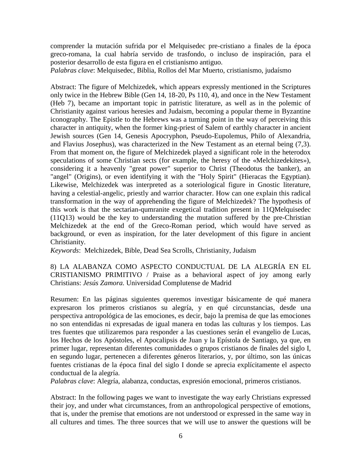comprender la mutación sufrida por el Melquisedec pre-cristiano a finales de la época greco-romana, la cual habría servido de trasfondo, o incluso de inspiración, para el posterior desarrollo de esta figura en el cristianismo antiguo.

*Palabras clave*: Melquisedec, Biblia, Rollos del Mar Muerto, cristianismo, judaísmo

Abstract: The figure of Melchizedek, which appears expressly mentioned in the Scriptures only twice in the Hebrew Bible (Gen 14, 18-20, Ps 110, 4), and once in the New Testament (Heb 7), became an important topic in patristic literature, as well as in the polemic of Christianity against various heresies and Judaism, becoming a popular theme in Byzantine iconography. The Epistle to the Hebrews was a turning point in the way of perceiving this character in antiquity, when the former king-priest of Salem of earthly character in ancient Jewish sources (Gen 14, Genesis Apocryphon, Pseudo-Eupolemus, Philo of Alexandria, and Flavius Josephus), was characterized in the New Testament as an eternal being (7,3). From that moment on, the figure of Melchizedek played a significant role in the heterodox speculations of some Christian sects (for example, the heresy of the «Melchizedekites»), considering it a heavenly "great power" superior to Christ (Theodotus the banker), an "angel" (Origins), or even identifying it with the "Holy Spirit" (Hieracas the Egyptian). Likewise, Melchizedek was interpreted as a soteriological figure in Gnostic literature, having a celestial-angelic, priestly and warrior character. How can one explain this radical transformation in the way of apprehending the figure of Melchizedek? The hypothesis of this work is that the sectarian-qumranite exegetical tradition present in 11QMelquisedec (11Q13) would be the key to understanding the mutation suffered by the pre-Christian Melchizedek at the end of the Greco-Roman period, which would have served as background, or even as inspiration, for the later development of this figure in ancient Christianity.

*Keywords*: Melchizedek, Bible, Dead Sea Scrolls, Christianity, Judaism

8) LA ALABANZA COMO ASPECTO CONDUCTUAL DE LA ALEGRÍA EN EL CRISTIANISMO PRIMITIVO / Praise as a behavioral aspect of joy among early Christians: *Jesús Zamora.* Universidad Complutense de Madrid

Resumen: En las páginas siguientes queremos investigar básicamente de qué manera expresaron los primeros cristianos su alegría, y en qué circunstancias, desde una perspectiva antropológica de las emociones, es decir, bajo la premisa de que las emociones no son entendidas ni expresadas de igual manera en todas las culturas y los tiempos. Las tres fuentes que utilizaremos para responder a las cuestiones serán el evangelio de Lucas, los Hechos de los Apóstoles, el Apocalipsis de Juan y la Epístola de Santiago, ya que, en primer lugar, representan diferentes comunidades o grupos cristianos de finales del siglo I, en segundo lugar, pertenecen a diferentes géneros literarios, y, por último, son las únicas fuentes cristianas de la época final del siglo I donde se aprecia explícitamente el aspecto conductual de la alegría.

*Palabras clave*: Alegría, alabanza, conductas, expresión emocional, primeros cristianos.

Abstract: In the following pages we want to investigate the way early Christians expressed their joy, and under what circumstances, from an anthropological perspective of emotions, that is, under the premise that emotions are not understood or expressed in the same way in all cultures and times. The three sources that we will use to answer the questions will be